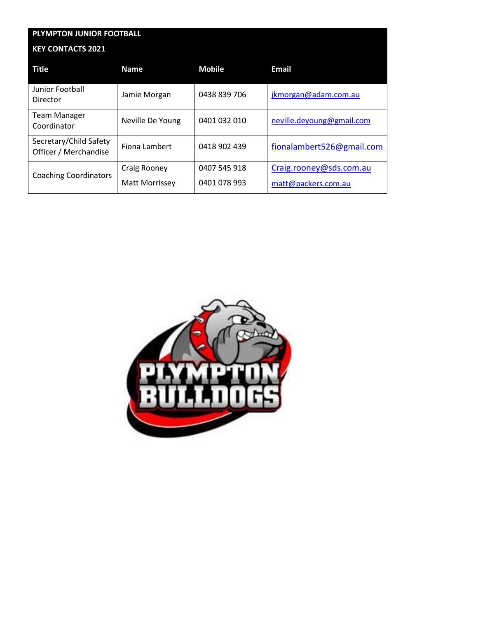| PLYMPTON JUNIOR FOOTBALL                        |                       |               |                           |  |
|-------------------------------------------------|-----------------------|---------------|---------------------------|--|
| <b>KEY CONTACTS 2021</b>                        |                       |               |                           |  |
| <b>Title</b>                                    | <b>Name</b>           | <b>Mobile</b> | <b>Email</b>              |  |
| Junior Football<br>Director                     | Jamie Morgan          | 0438 839 706  | jkmorgan@adam.com.au      |  |
| <b>Team Manager</b><br>Coordinator              | Neville De Young      | 0401 032 010  | neville.deyoung@gmail.com |  |
| Secretary/Child Safety<br>Officer / Merchandise | Fiona Lambert         | 0418 902 439  | fionalambert526@gmail.com |  |
| <b>Coaching Coordinators</b>                    | Craig Rooney          | 0407 545 918  | Craig.rooney@sds.com.au   |  |
|                                                 | <b>Matt Morrissey</b> | 0401 078 993  | matt@packers.com.au       |  |